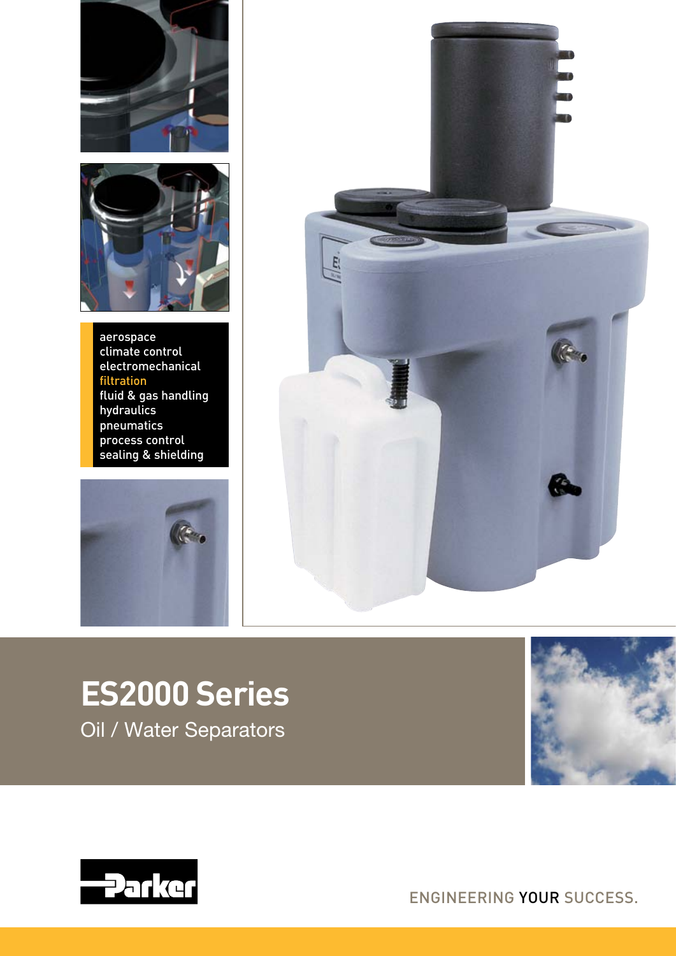



aerospace climate control electromechanical filtration fluid & gas handling hydraulics pneumatics process control sealing & shielding





**ES2000 Series** Oil / Water Separators





ENGINEERING YOUR SUCCESS.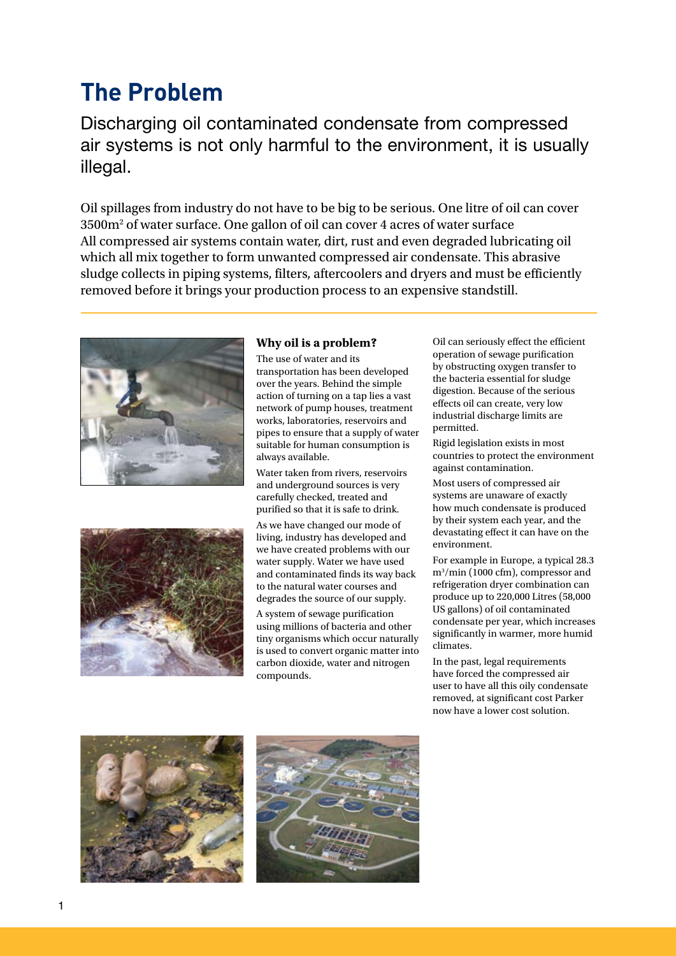## **The Problem**

Discharging oil contaminated condensate from compressed air systems is not only harmful to the environment, it is usually illegal.

Oil spillages from industry do not have to be big to be serious. One litre of oil can cover  $3500\mathrm{m}^2$  of water surface. One gallon of oil can cover 4 acres of water surface All compressed air systems contain water, dirt, rust and even degraded lubricating oil which all mix together to form unwanted compressed air condensate. This abrasive sludge collects in piping systems, filters, aftercoolers and dryers and must be efficiently removed before it brings your production process to an expensive standstill.





### **Why oil is a problem?**

The use of water and its transportation has been developed over the years. Behind the simple action of turning on a tap lies a vast network of pump houses, treatment works, laboratories, reservoirs and pipes to ensure that a supply of water suitable for human consumption is always available.

Water taken from rivers, reservoirs and underground sources is very carefully checked, treated and purified so that it is safe to drink.

As we have changed our mode of living, industry has developed and we have created problems with our water supply. Water we have used and contaminated finds its way back to the natural water courses and degrades the source of our supply.

A system of sewage purification using millions of bacteria and other tiny organisms which occur naturally is used to convert organic matter into carbon dioxide, water and nitrogen compounds.

Oil can seriously effect the efficient operation of sewage purification by obstructing oxygen transfer to the bacteria essential for sludge digestion. Because of the serious effects oil can create, very low industrial discharge limits are permitted.

Rigid legislation exists in most countries to protect the environment against contamination.

Most users of compressed air systems are unaware of exactly how much condensate is produced by their system each year, and the devastating effect it can have on the environment.

For example in Europe, a typical 28.3 m3 /min (1000 cfm), compressor and refrigeration dryer combination can produce up to 220,000 Litres (58,000 US gallons) of oil contaminated condensate per year, which increases significantly in warmer, more humid climates.

In the past, legal requirements have forced the compressed air user to have all this oily condensate removed, at significant cost Parker now have a lower cost solution.



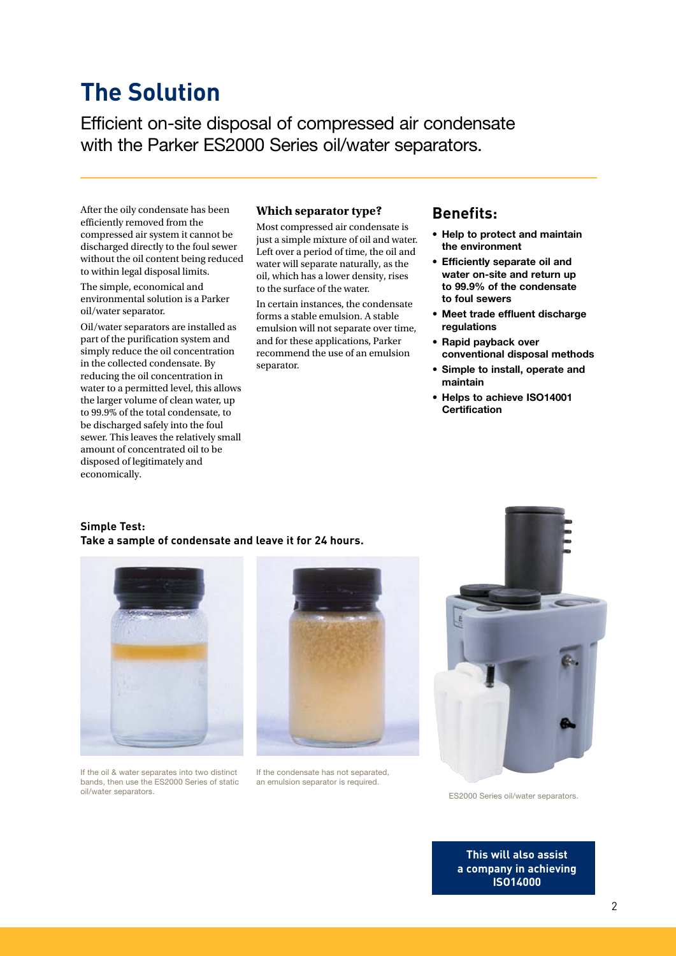## **The Solution**

Efficient on-site disposal of compressed air condensate with the Parker ES2000 Series oil/water separators.

After the oily condensate has been efficiently removed from the compressed air system it cannot be discharged directly to the foul sewer without the oil content being reduced to within legal disposal limits.

The simple, economical and environmental solution is a Parker oil/water separator.

Oil/water separators are installed as part of the purification system and simply reduce the oil concentration in the collected condensate. By reducing the oil concentration in water to a permitted level, this allows the larger volume of clean water, up to 99.9% of the total condensate, to be discharged safely into the foul sewer. This leaves the relatively small amount of concentrated oil to be disposed of legitimately and economically.

#### **Which separator type?**

Most compressed air condensate is just a simple mixture of oil and water. Left over a period of time, the oil and water will separate naturally, as the oil, which has a lower density, rises to the surface of the water.

In certain instances, the condensate forms a stable emulsion. A stable emulsion will not separate over time, and for these applications, Parker recommend the use of an emulsion separator.

## **Benefits:**

- Help to protect and maintain the environment
- • Efficiently separate oil and water on-site and return up to 99.9% of the condensate to foul sewers
- Meet trade effluent discharge regulations
- • Rapid payback over conventional disposal methods
- • Simple to install, operate and maintain
- Helps to achieve ISO14001 **Certification**

#### **Simple Test: Take a sample of condensate and leave it for 24 hours.**







If the condensate has not separated, an emulsion separator is required.



ES2000 Series oil/water separators.

**This will also assist a company in achieving ISO14000**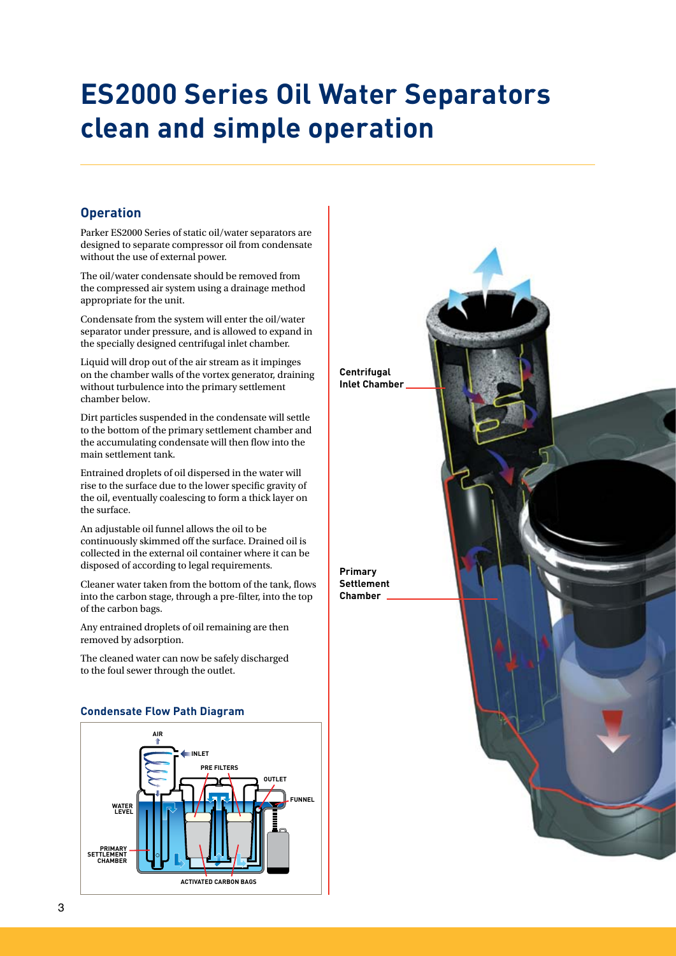# **ES2000 Series Oil Water Separators clean and simple operation**

## **Operation**

Parker ES2000 Series of static oil/water separators are designed to separate compressor oil from condensate without the use of external power.

The oil/water condensate should be removed from the compressed air system using a drainage method appropriate for the unit.

Condensate from the system will enter the oil/water separator under pressure, and is allowed to expand in the specially designed centrifugal inlet chamber.

Liquid will drop out of the air stream as it impinges on the chamber walls of the vortex generator, draining without turbulence into the primary settlement chamber below.

Dirt particles suspended in the condensate will settle to the bottom of the primary settlement chamber and the accumulating condensate will then flow into the main settlement tank.

Entrained droplets of oil dispersed in the water will rise to the surface due to the lower specific gravity of the oil, eventually coalescing to form a thick layer on the surface.

An adjustable oil funnel allows the oil to be continuously skimmed off the surface. Drained oil is collected in the external oil container where it can be disposed of according to legal requirements.

Cleaner water taken from the bottom of the tank, flows into the carbon stage, through a pre-filter, into the top of the carbon bags.

Any entrained droplets of oil remaining are then removed by adsorption.

The cleaned water can now be safely discharged to the foul sewer through the outlet.

### **Condensate Flow Path Diagram**



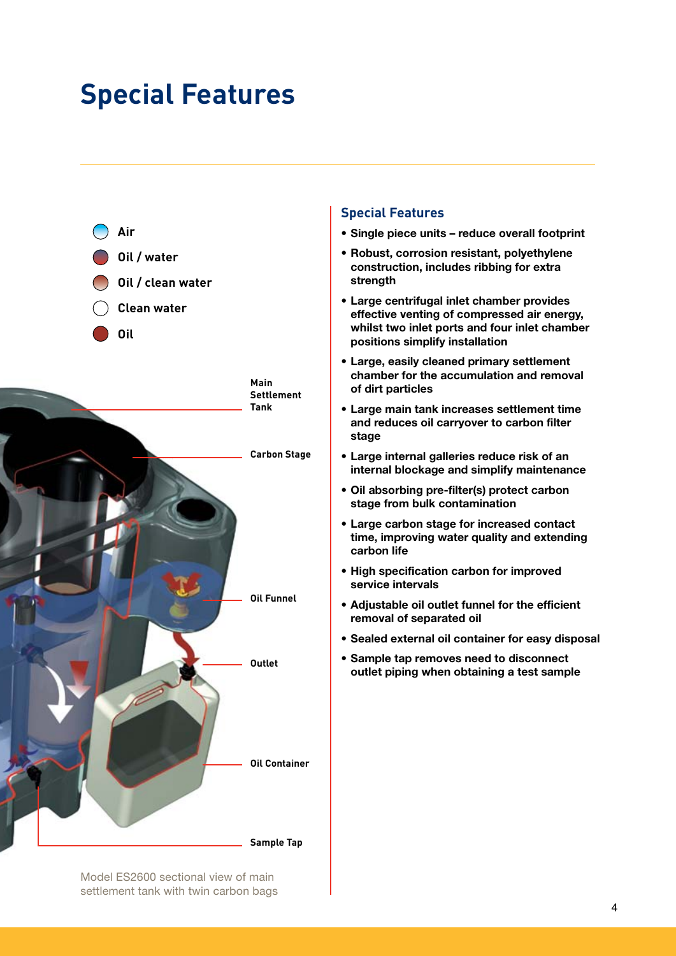## **Special Features**



## **Special Features**

- • Single piece units reduce overall footprint
- Robust, corrosion resistant, polyethylene construction, includes ribbing for extra strength
- • Large centrifugal inlet chamber provides effective venting of compressed air energy, whilst two inlet ports and four inlet chamber positions simplify installation
- • Large, easily cleaned primary settlement chamber for the accumulation and removal of dirt particles
- • Large main tank increases settlement time and reduces oil carryover to carbon filter stage
- • Large internal galleries reduce risk of an internal blockage and simplify maintenance
- • Oil absorbing pre-filter(s) protect carbon stage from bulk contamination
- • Large carbon stage for increased contact time, improving water quality and extending carbon life
- • High specification carbon for improved service intervals
- Adjustable oil outlet funnel for the efficient removal of separated oil
- • Sealed external oil container for easy disposal
- • Sample tap removes need to disconnect outlet piping when obtaining a test sample

Model ES2600 sectional view of main settlement tank with twin carbon bags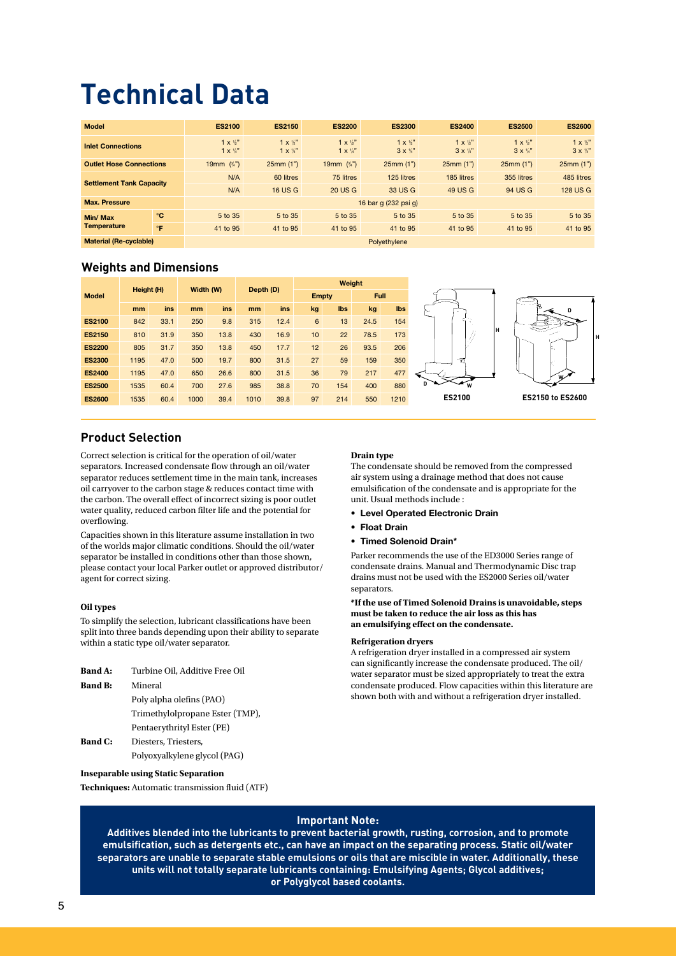# **Technical Data**

| <b>Model</b>                    |              | <b>ES2100</b>                                    | <b>ES2150</b>                                | <b>ES2200</b>                                    | <b>ES2300</b>                                    | <b>ES2400</b>                                    | <b>ES2500</b>                                | <b>ES2600</b>                                    |
|---------------------------------|--------------|--------------------------------------------------|----------------------------------------------|--------------------------------------------------|--------------------------------------------------|--------------------------------------------------|----------------------------------------------|--------------------------------------------------|
| <b>Inlet Connections</b>        |              | $1 \times \frac{1}{2}$<br>$1 \times \frac{1}{4}$ | $1 \times 10^{11}$<br>$1 \times \frac{1}{4}$ | $1 \times \frac{1}{2}$<br>$1 \times \frac{1}{4}$ | $1 \times \frac{1}{2}$<br>$3 \times \frac{1}{4}$ | $1 \times \frac{1}{2}$<br>$3 \times \frac{1}{4}$ | $1 \times 10^{10}$<br>$3 \times \frac{1}{4}$ | $1 \times \frac{1}{2}$<br>$3 \times \frac{1}{4}$ |
| <b>Outlet Hose Connections</b>  |              | 19mm $(3/4)$                                     | 25mm(1")                                     | 19mm $(\frac{3}{4})$                             | 25mm(1")                                         | 25mm(1")                                         | 25mm(1")                                     | 25mm(1")                                         |
| <b>Settlement Tank Capacity</b> |              | N/A                                              | 60 litres                                    | 75 litres                                        | 125 litres                                       | 185 litres                                       | 355 litres                                   | 485 litres                                       |
|                                 |              | N/A                                              | <b>16 US G</b>                               | <b>20 US G</b>                                   | 33 US G                                          | 49 US G                                          | 94 US G                                      | <b>128 US G</b>                                  |
| <b>Max. Pressure</b>            |              |                                                  |                                              |                                                  | 16 bar g (232 psi g)                             |                                                  |                                              |                                                  |
| Min/ Max                        | $^{\circ}$ C | 5 to 35                                          | 5 to 35                                      | 5 to 35                                          | 5 to 35                                          | 5 to 35                                          | 5 to 35                                      | 5 to 35                                          |
| <b>Temperature</b>              | $\mathsf{P}$ | 41 to 95                                         | 41 to 95                                     | 41 to 95                                         | 41 to 95                                         | 41 to 95                                         | 41 to 95                                     | 41 to 95                                         |
| <b>Material (Re-cyclable)</b>   |              |                                                  |                                              |                                                  | Polyethylene                                     |                                                  |                                              |                                                  |

## **Weights and Dimensions**

|              |               | Width (W) |      |               | Height (H) |      |      |              | Depth (D) |      |            | Weight                  |                  |  |  |  |
|--------------|---------------|-----------|------|---------------|------------|------|------|--------------|-----------|------|------------|-------------------------|------------------|--|--|--|
| <b>Model</b> |               |           |      |               |            |      |      | <b>Empty</b> |           | Full |            |                         |                  |  |  |  |
|              |               | mm        | ins  | <sub>mm</sub> | ins        | mm   | ins  | kg           | Ibs       | kg   | <b>Ibs</b> | ∼                       | <b>A.M. 25</b>   |  |  |  |
|              | <b>ES2100</b> | 842       | 33.1 | 250           | 9.8        | 315  | 12.4 | 6            | 13        | 24.5 | 154        |                         |                  |  |  |  |
|              | <b>ES2150</b> | 810       | 31.9 | 350           | 13.8       | 430  | 16.9 | 10           | 22        | 78.5 | 173        |                         | н                |  |  |  |
|              | <b>ES2200</b> | 805       | 31.7 | 350           | 13.8       | 450  | 17.7 | 12           | 26        | 93.5 | 206        |                         | w.               |  |  |  |
|              | <b>ES2300</b> | 1195      | 47.0 | 500           | 19.7       | 800  | 31.5 | 27           | 59        | 159  | 350        | $\overline{\mathbb{C}}$ |                  |  |  |  |
|              | <b>ES2400</b> | 1195      | 47.0 | 650           | 26.6       | 800  | 31.5 | 36           | 79        | 217  | 477        |                         |                  |  |  |  |
|              | <b>ES2500</b> | 1535      | 60.4 | 700           | 27.6       | 985  | 38.8 | 70           | 154       | 400  | 880        | D<br>W                  |                  |  |  |  |
|              | <b>ES2600</b> | 1535      | 60.4 | 1000          | 39.4       | 1010 | 39.8 | 97           | 214       | 550  | 1210       | ES2100                  | ES2150 to ES2600 |  |  |  |

## **Product Selection**

Correct selection is critical for the operation of oil/water separators. Increased condensate flow through an oil/water separator reduces settlement time in the main tank, increases oil carryover to the carbon stage & reduces contact time with the carbon. The overall effect of incorrect sizing is poor outlet water quality, reduced carbon filter life and the potential for overflowing.

Capacities shown in this literature assume installation in two of the worlds major climatic conditions. Should the oil/water separator be installed in conditions other than those shown, please contact your local Parker outlet or approved distributor/ agent for correct sizing.

#### **Oil types**

To simplify the selection, lubricant classifications have been split into three bands depending upon their ability to separate within a static type oil/water separator.

| <b>Band A:</b> | Turbine Oil, Additive Free Oil  |
|----------------|---------------------------------|
| <b>Band B:</b> | Mineral                         |
|                | Poly alpha olefins (PAO)        |
|                | Trimethylolpropane Ester (TMP), |
|                | Pentaerythrityl Ester (PE)      |
| <b>Band C:</b> | Diesters, Triesters,            |
|                | Polyoxyalkylene glycol (PAG)    |

#### **Inseparable using Static Separation**

**Techniques:** Automatic transmission fluid (ATF)

#### **Drain type**

The condensate should be removed from the compressed air system using a drainage method that does not cause emulsification of the condensate and is appropriate for the unit. Usual methods include :

**H**

- • Level Operated Electronic Drain
- • Float Drain
- • Timed Solenoid Drain\*

Parker recommends the use of the ED3000 Series range of condensate drains. Manual and Thermodynamic Disc trap drains must not be used with the ES2000 Series oil/water separators.

**\*If the use of Timed Solenoid Drains is unavoidable, steps must be taken to reduce the air loss as this has an emulsifying effect on the condensate.**

#### **Refrigeration dryers**

A refrigeration dryer installed in a compressed air system can significantly increase the condensate produced. The oil/ water separator must be sized appropriately to treat the extra condensate produced. Flow capacities within this literature are shown both with and without a refrigeration dryer installed.

#### **Important Note:**

**Additives blended into the lubricants to prevent bacterial growth, rusting, corrosion, and to promote emulsification, such as detergents etc., can have an impact on the separating process. Static oil/water separators are unable to separate stable emulsions or oils that are miscible in water. Additionally, these units will not totally separate lubricants containing: Emulsifying Agents; Glycol additives; or Polyglycol based coolants.**